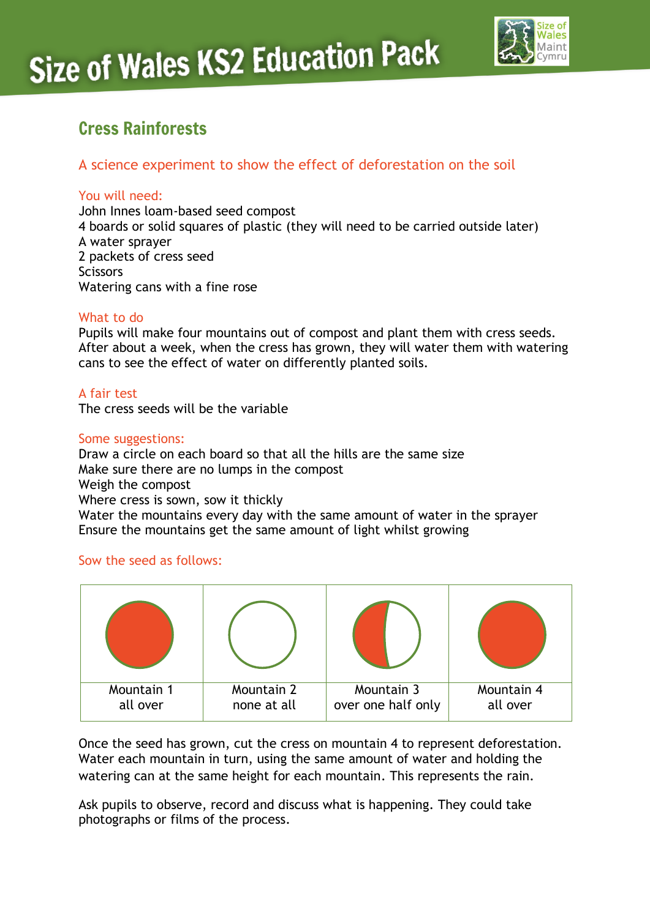

# Cress Rainforests

### A science experiment to show the effect of deforestation on the soil

#### You will need:

John Innes loam-based seed compost 4 boards or solid squares of plastic (they will need to be carried outside later) A water sprayer 2 packets of cress seed **Scissors** Watering cans with a fine rose

#### What to do

Pupils will make four mountains out of compost and plant them with cress seeds. After about a week, when the cress has grown, they will water them with watering cans to see the effect of water on differently planted soils.

#### A fair test

The cress seeds will be the variable

#### Some suggestions:

Draw a circle on each board so that all the hills are the same size Make sure there are no lumps in the compost Weigh the compost Where cress is sown, sow it thickly Water the mountains every day with the same amount of water in the sprayer Ensure the mountains get the same amount of light whilst growing

#### Sow the seed as follows:



Once the seed has grown, cut the cress on mountain 4 to represent deforestation. Water each mountain in turn, using the same amount of water and holding the watering can at the same height for each mountain. This represents the rain.

Ask pupils to observe, record and discuss what is happening. They could take photographs or films of the process.